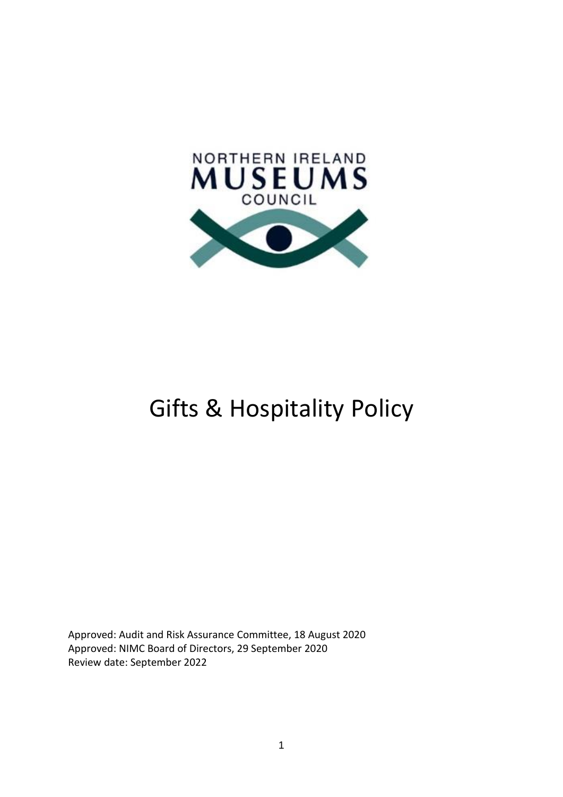

# Gifts & Hospitality Policy

Approved: Audit and Risk Assurance Committee, 18 August 2020 Approved: NIMC Board of Directors, 29 September 2020 Review date: September 2022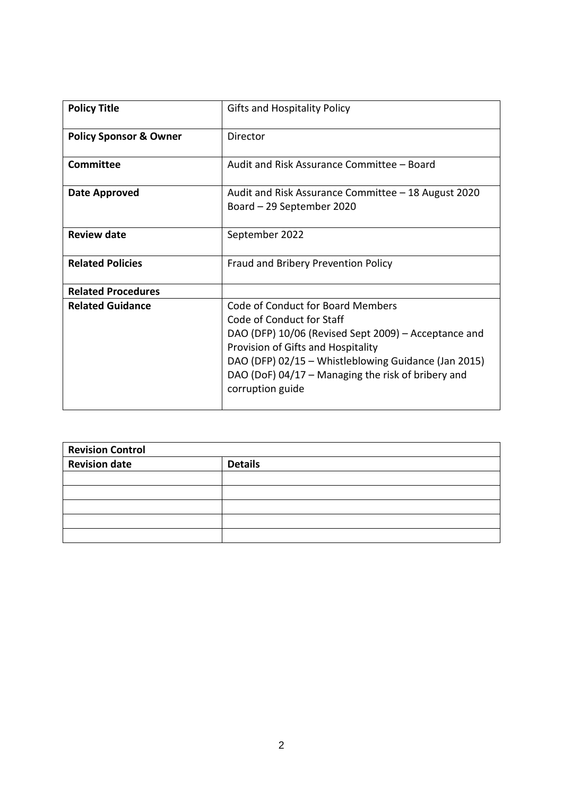| <b>Policy Title</b>               | <b>Gifts and Hospitality Policy</b>                                                                                                                                                                                                                                                            |
|-----------------------------------|------------------------------------------------------------------------------------------------------------------------------------------------------------------------------------------------------------------------------------------------------------------------------------------------|
| <b>Policy Sponsor &amp; Owner</b> | Director                                                                                                                                                                                                                                                                                       |
| <b>Committee</b>                  | Audit and Risk Assurance Committee - Board                                                                                                                                                                                                                                                     |
| Date Approved                     | Audit and Risk Assurance Committee – 18 August 2020<br>Board – 29 September 2020                                                                                                                                                                                                               |
| <b>Review date</b>                | September 2022                                                                                                                                                                                                                                                                                 |
| <b>Related Policies</b>           | Fraud and Bribery Prevention Policy                                                                                                                                                                                                                                                            |
| <b>Related Procedures</b>         |                                                                                                                                                                                                                                                                                                |
| <b>Related Guidance</b>           | Code of Conduct for Board Members<br>Code of Conduct for Staff<br>DAO (DFP) 10/06 (Revised Sept 2009) – Acceptance and<br>Provision of Gifts and Hospitality<br>DAO (DFP) 02/15 - Whistleblowing Guidance (Jan 2015)<br>DAO (DoF) 04/17 - Managing the risk of bribery and<br>corruption guide |

| <b>Revision Control</b> |                |  |  |
|-------------------------|----------------|--|--|
| <b>Revision date</b>    | <b>Details</b> |  |  |
|                         |                |  |  |
|                         |                |  |  |
|                         |                |  |  |
|                         |                |  |  |
|                         |                |  |  |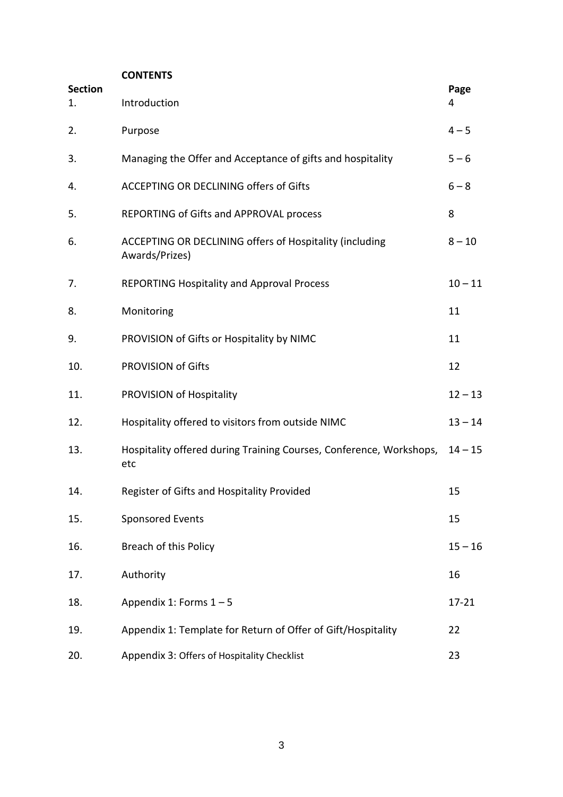## **CONTENTS**

| <b>Section</b><br>1. | Introduction                                                               | Page<br>4 |
|----------------------|----------------------------------------------------------------------------|-----------|
| 2.                   | Purpose                                                                    | $4 - 5$   |
| 3.                   | Managing the Offer and Acceptance of gifts and hospitality                 | $5 - 6$   |
| 4.                   | ACCEPTING OR DECLINING offers of Gifts                                     | $6 - 8$   |
| 5.                   | REPORTING of Gifts and APPROVAL process                                    | 8         |
| 6.                   | ACCEPTING OR DECLINING offers of Hospitality (including<br>Awards/Prizes)  | $8 - 10$  |
| 7.                   | <b>REPORTING Hospitality and Approval Process</b>                          | $10 - 11$ |
| 8.                   | Monitoring                                                                 | 11        |
| 9.                   | PROVISION of Gifts or Hospitality by NIMC                                  | 11        |
| 10.                  | <b>PROVISION of Gifts</b>                                                  | 12        |
| 11.                  | PROVISION of Hospitality                                                   | $12 - 13$ |
| 12.                  | Hospitality offered to visitors from outside NIMC                          | $13 - 14$ |
| 13.                  | Hospitality offered during Training Courses, Conference, Workshops,<br>etc | $14 - 15$ |
| 14.                  | Register of Gifts and Hospitality Provided                                 | 15        |
| 15.                  | <b>Sponsored Events</b>                                                    | 15        |
| 16.                  | <b>Breach of this Policy</b>                                               | $15 - 16$ |
| 17.                  | Authority                                                                  | 16        |
| 18.                  | Appendix 1: Forms $1-5$                                                    | $17 - 21$ |
| 19.                  | Appendix 1: Template for Return of Offer of Gift/Hospitality               | 22        |
| 20.                  | Appendix 3: Offers of Hospitality Checklist                                | 23        |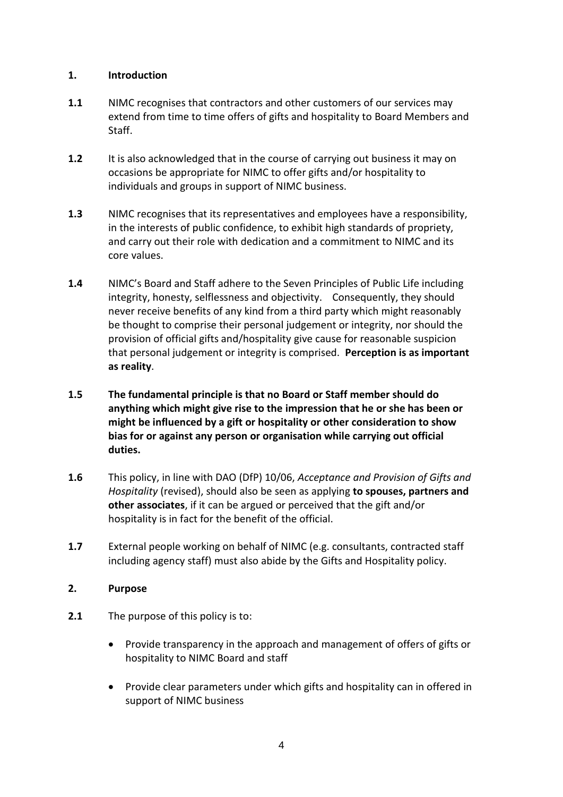#### **1. Introduction**

- **1.1** NIMC recognises that contractors and other customers of our services may extend from time to time offers of gifts and hospitality to Board Members and Staff.
- **1.2** It is also acknowledged that in the course of carrying out business it may on occasions be appropriate for NIMC to offer gifts and/or hospitality to individuals and groups in support of NIMC business.
- **1.3** NIMC recognises that its representatives and employees have a responsibility, in the interests of public confidence, to exhibit high standards of propriety, and carry out their role with dedication and a commitment to NIMC and its core values.
- **1.4** NIMC's Board and Staff adhere to the Seven Principles of Public Life including integrity, honesty, selflessness and objectivity. Consequently, they should never receive benefits of any kind from a third party which might reasonably be thought to comprise their personal judgement or integrity, nor should the provision of official gifts and/hospitality give cause for reasonable suspicion that personal judgement or integrity is comprised. **Perception is as important as reality**.
- **1.5 The fundamental principle is that no Board or Staff member should do anything which might give rise to the impression that he or she has been or might be influenced by a gift or hospitality or other consideration to show bias for or against any person or organisation while carrying out official duties.**
- **1.6** This policy, in line with DAO (DfP) 10/06, *Acceptance and Provision of Gifts and Hospitality* (revised), should also be seen as applying **to spouses, partners and other associates**, if it can be argued or perceived that the gift and/or hospitality is in fact for the benefit of the official.
- **1.7** External people working on behalf of NIMC (e.g. consultants, contracted staff including agency staff) must also abide by the Gifts and Hospitality policy.

## **2. Purpose**

- **2.1** The purpose of this policy is to:
	- Provide transparency in the approach and management of offers of gifts or hospitality to NIMC Board and staff
	- Provide clear parameters under which gifts and hospitality can in offered in support of NIMC business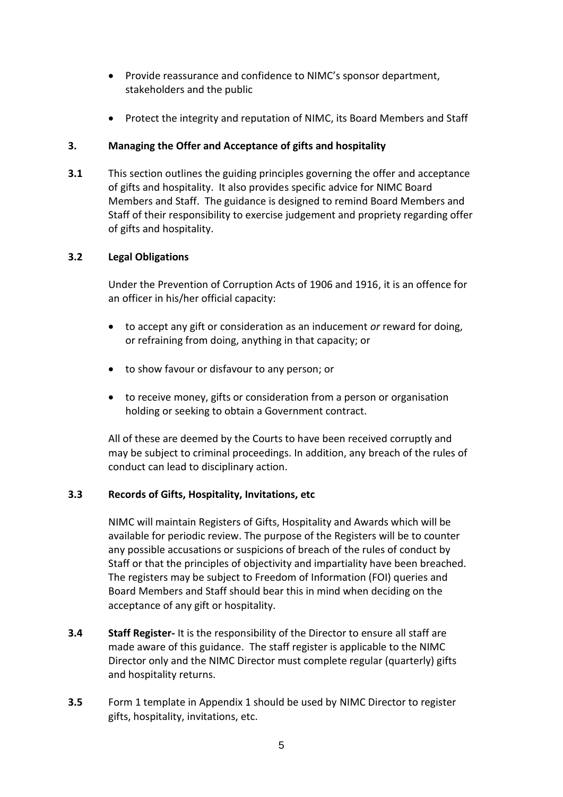- Provide reassurance and confidence to NIMC's sponsor department, stakeholders and the public
- Protect the integrity and reputation of NIMC, its Board Members and Staff

## **3. Managing the Offer and Acceptance of gifts and hospitality**

**3.1** This section outlines the guiding principles governing the offer and acceptance of gifts and hospitality. It also provides specific advice for NIMC Board Members and Staff. The guidance is designed to remind Board Members and Staff of their responsibility to exercise judgement and propriety regarding offer of gifts and hospitality.

## **3.2 Legal Obligations**

Under the Prevention of Corruption Acts of 1906 and 1916, it is an offence for an officer in his/her official capacity:

- to accept any gift or consideration as an inducement *or* reward for doing, or refraining from doing, anything in that capacity; or
- to show favour or disfavour to any person; or
- to receive money, gifts or consideration from a person or organisation holding or seeking to obtain a Government contract.

All of these are deemed by the Courts to have been received corruptly and may be subject to criminal proceedings. In addition, any breach of the rules of conduct can lead to disciplinary action.

## **3.3 Records of Gifts, Hospitality, Invitations, etc**

NIMC will maintain Registers of Gifts, Hospitality and Awards which will be available for periodic review. The purpose of the Registers will be to counter any possible accusations or suspicions of breach of the rules of conduct by Staff or that the principles of objectivity and impartiality have been breached. The registers may be subject to Freedom of Information (FOI) queries and Board Members and Staff should bear this in mind when deciding on the acceptance of any gift or hospitality.

- **3.4 Staff Register-** It is the responsibility of the Director to ensure all staff are made aware of this guidance. The staff register is applicable to the NIMC Director only and the NIMC Director must complete regular (quarterly) gifts and hospitality returns.
- **3.5** Form 1 template in Appendix 1 should be used by NIMC Director to register gifts, hospitality, invitations, etc.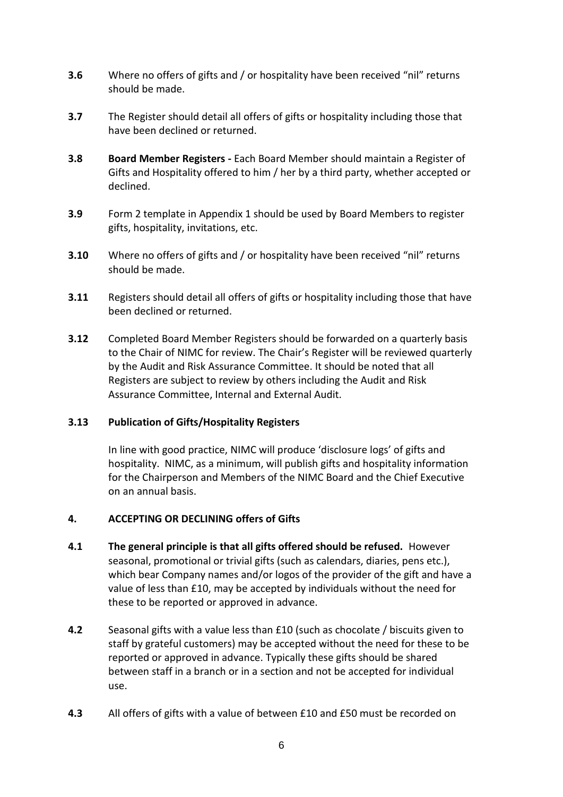- **3.6** Where no offers of gifts and / or hospitality have been received "nil" returns should be made.
- **3.7** The Register should detail all offers of gifts or hospitality including those that have been declined or returned.
- **3.8 Board Member Registers -** Each Board Member should maintain a Register of Gifts and Hospitality offered to him / her by a third party, whether accepted or declined.
- **3.9** Form 2 template in Appendix 1 should be used by Board Members to register gifts, hospitality, invitations, etc.
- **3.10** Where no offers of gifts and / or hospitality have been received "nil" returns should be made.
- **3.11** Registers should detail all offers of gifts or hospitality including those that have been declined or returned.
- **3.12** Completed Board Member Registers should be forwarded on a quarterly basis to the Chair of NIMC for review. The Chair's Register will be reviewed quarterly by the Audit and Risk Assurance Committee. It should be noted that all Registers are subject to review by others including the Audit and Risk Assurance Committee, Internal and External Audit.

## **3.13 Publication of Gifts/Hospitality Registers**

In line with good practice, NIMC will produce 'disclosure logs' of gifts and hospitality. NIMC, as a minimum, will publish gifts and hospitality information for the Chairperson and Members of the NIMC Board and the Chief Executive on an annual basis.

## **4. ACCEPTING OR DECLINING offers of Gifts**

- **4.1 The general principle is that all gifts offered should be refused.** However seasonal, promotional or trivial gifts (such as calendars, diaries, pens etc.), which bear Company names and/or logos of the provider of the gift and have a value of less than £10, may be accepted by individuals without the need for these to be reported or approved in advance.
- **4.2** Seasonal gifts with a value less than £10 (such as chocolate / biscuits given to staff by grateful customers) may be accepted without the need for these to be reported or approved in advance. Typically these gifts should be shared between staff in a branch or in a section and not be accepted for individual use.
- **4.3** All offers of gifts with a value of between £10 and £50 must be recorded on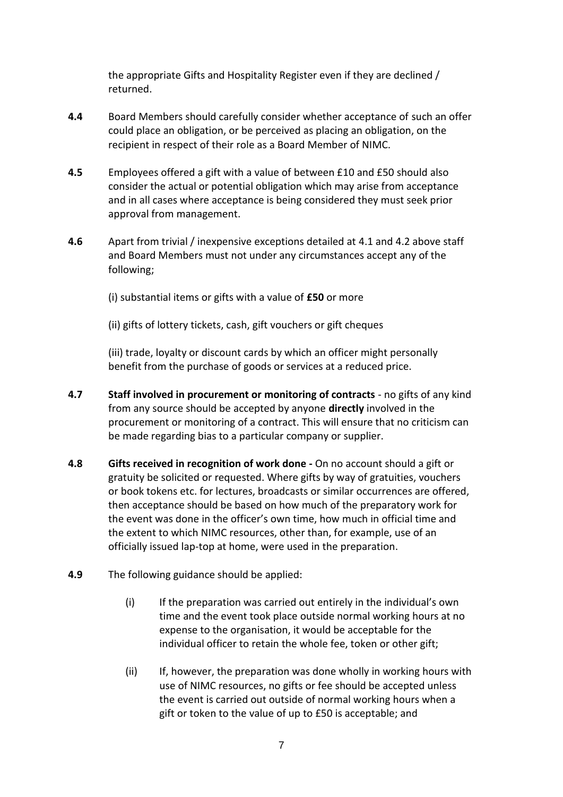the appropriate Gifts and Hospitality Register even if they are declined / returned.

- **4.4** Board Members should carefully consider whether acceptance of such an offer could place an obligation, or be perceived as placing an obligation, on the recipient in respect of their role as a Board Member of NIMC.
- **4.5** Employees offered a gift with a value of between £10 and £50 should also consider the actual or potential obligation which may arise from acceptance and in all cases where acceptance is being considered they must seek prior approval from management.
- **4.6** Apart from trivial / inexpensive exceptions detailed at 4.1 and 4.2 above staff and Board Members must not under any circumstances accept any of the following;

(i) substantial items or gifts with a value of **£50** or more

(ii) gifts of lottery tickets, cash, gift vouchers or gift cheques

(iii) trade, loyalty or discount cards by which an officer might personally benefit from the purchase of goods or services at a reduced price.

- **4.7 Staff involved in procurement or monitoring of contracts**  no gifts of any kind from any source should be accepted by anyone **directly** involved in the procurement or monitoring of a contract. This will ensure that no criticism can be made regarding bias to a particular company or supplier.
- **4.8 Gifts received in recognition of work done -** On no account should a gift or gratuity be solicited or requested. Where gifts by way of gratuities, vouchers or book tokens etc. for lectures, broadcasts or similar occurrences are offered, then acceptance should be based on how much of the preparatory work for the event was done in the officer's own time, how much in official time and the extent to which NIMC resources, other than, for example, use of an officially issued lap-top at home, were used in the preparation.
- **4.9** The following guidance should be applied:
	- (i) If the preparation was carried out entirely in the individual's own time and the event took place outside normal working hours at no expense to the organisation, it would be acceptable for the individual officer to retain the whole fee, token or other gift;
	- (ii) If, however, the preparation was done wholly in working hours with use of NIMC resources, no gifts or fee should be accepted unless the event is carried out outside of normal working hours when a gift or token to the value of up to £50 is acceptable; and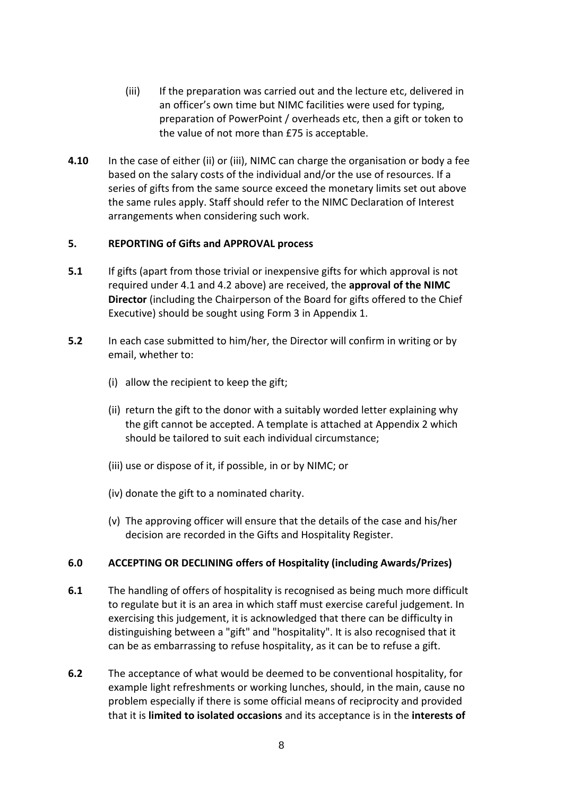- (iii) If the preparation was carried out and the lecture etc, delivered in an officer's own time but NIMC facilities were used for typing, preparation of PowerPoint / overheads etc, then a gift or token to the value of not more than £75 is acceptable.
- **4.10** In the case of either (ii) or (iii), NIMC can charge the organisation or body a fee based on the salary costs of the individual and/or the use of resources. If a series of gifts from the same source exceed the monetary limits set out above the same rules apply. Staff should refer to the NIMC Declaration of Interest arrangements when considering such work.

#### **5. REPORTING of Gifts and APPROVAL process**

- **5.1** If gifts (apart from those trivial or inexpensive gifts for which approval is not required under 4.1 and 4.2 above) are received, the **approval of the NIMC Director** (including the Chairperson of the Board for gifts offered to the Chief Executive) should be sought using Form 3 in Appendix 1.
- **5.2** In each case submitted to him/her, the Director will confirm in writing or by email, whether to:
	- (i) allow the recipient to keep the gift;
	- (ii) return the gift to the donor with a suitably worded letter explaining why the gift cannot be accepted. A template is attached at Appendix 2 which should be tailored to suit each individual circumstance;
	- (iii) use or dispose of it, if possible, in or by NIMC; or
	- (iv) donate the gift to a nominated charity.
	- (v) The approving officer will ensure that the details of the case and his/her decision are recorded in the Gifts and Hospitality Register.

## **6.0 ACCEPTING OR DECLINING offers of Hospitality (including Awards/Prizes)**

- **6.1** The handling of offers of hospitality is recognised as being much more difficult to regulate but it is an area in which staff must exercise careful judgement. In exercising this judgement, it is acknowledged that there can be difficulty in distinguishing between a "gift" and "hospitality". It is also recognised that it can be as embarrassing to refuse hospitality, as it can be to refuse a gift.
- **6.2** The acceptance of what would be deemed to be conventional hospitality, for example light refreshments or working lunches, should, in the main, cause no problem especially if there is some official means of reciprocity and provided that it is **limited to isolated occasions** and its acceptance is in the **interests of**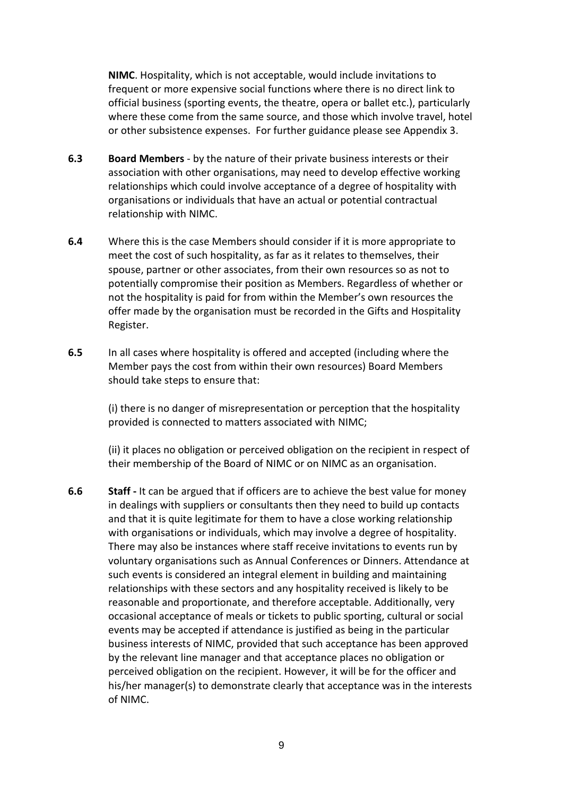**NIMC**. Hospitality, which is not acceptable, would include invitations to frequent or more expensive social functions where there is no direct link to official business (sporting events, the theatre, opera or ballet etc.), particularly where these come from the same source, and those which involve travel, hotel or other subsistence expenses. For further guidance please see Appendix 3.

- **6.3 Board Members**  by the nature of their private business interests or their association with other organisations, may need to develop effective working relationships which could involve acceptance of a degree of hospitality with organisations or individuals that have an actual or potential contractual relationship with NIMC.
- **6.4** Where this is the case Members should consider if it is more appropriate to meet the cost of such hospitality, as far as it relates to themselves, their spouse, partner or other associates, from their own resources so as not to potentially compromise their position as Members. Regardless of whether or not the hospitality is paid for from within the Member's own resources the offer made by the organisation must be recorded in the Gifts and Hospitality Register.
- **6.5** In all cases where hospitality is offered and accepted (including where the Member pays the cost from within their own resources) Board Members should take steps to ensure that:

(i) there is no danger of misrepresentation or perception that the hospitality provided is connected to matters associated with NIMC;

(ii) it places no obligation or perceived obligation on the recipient in respect of their membership of the Board of NIMC or on NIMC as an organisation.

**6.6 Staff -** It can be argued that if officers are to achieve the best value for money in dealings with suppliers or consultants then they need to build up contacts and that it is quite legitimate for them to have a close working relationship with organisations or individuals, which may involve a degree of hospitality. There may also be instances where staff receive invitations to events run by voluntary organisations such as Annual Conferences or Dinners. Attendance at such events is considered an integral element in building and maintaining relationships with these sectors and any hospitality received is likely to be reasonable and proportionate, and therefore acceptable. Additionally, very occasional acceptance of meals or tickets to public sporting, cultural or social events may be accepted if attendance is justified as being in the particular business interests of NIMC, provided that such acceptance has been approved by the relevant line manager and that acceptance places no obligation or perceived obligation on the recipient. However, it will be for the officer and his/her manager(s) to demonstrate clearly that acceptance was in the interests of NIMC.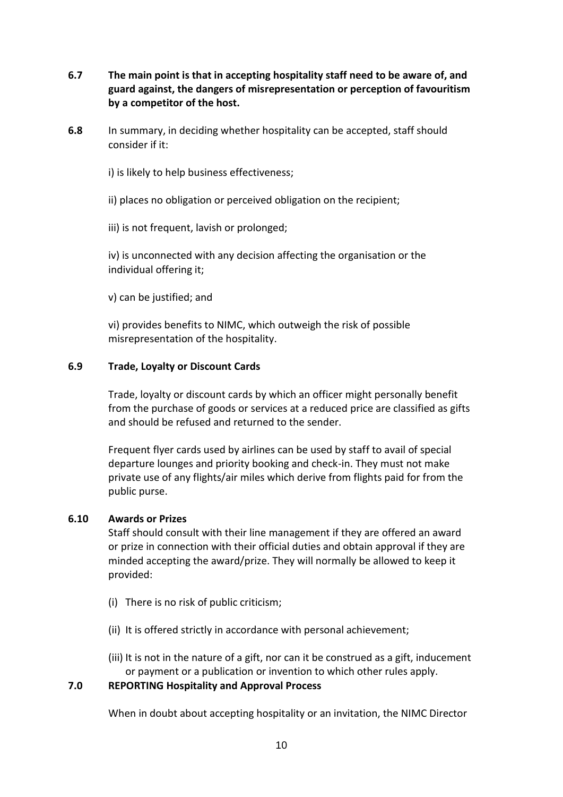- **6.7 The main point is that in accepting hospitality staff need to be aware of, and guard against, the dangers of misrepresentation or perception of favouritism by a competitor of the host.**
- **6.8** In summary, in deciding whether hospitality can be accepted, staff should consider if it:
	- i) is likely to help business effectiveness;
	- ii) places no obligation or perceived obligation on the recipient;
	- iii) is not frequent, lavish or prolonged;

iv) is unconnected with any decision affecting the organisation or the individual offering it;

v) can be justified; and

vi) provides benefits to NIMC, which outweigh the risk of possible misrepresentation of the hospitality.

#### **6.9 Trade, Loyalty or Discount Cards**

Trade, loyalty or discount cards by which an officer might personally benefit from the purchase of goods or services at a reduced price are classified as gifts and should be refused and returned to the sender.

Frequent flyer cards used by airlines can be used by staff to avail of special departure lounges and priority booking and check-in. They must not make private use of any flights/air miles which derive from flights paid for from the public purse.

#### **6.10 Awards or Prizes**

Staff should consult with their line management if they are offered an award or prize in connection with their official duties and obtain approval if they are minded accepting the award/prize. They will normally be allowed to keep it provided:

- (i) There is no risk of public criticism;
- (ii) It is offered strictly in accordance with personal achievement;
- (iii) It is not in the nature of a gift, nor can it be construed as a gift, inducement or payment or a publication or invention to which other rules apply.

#### **7.0 REPORTING Hospitality and Approval Process**

When in doubt about accepting hospitality or an invitation, the NIMC Director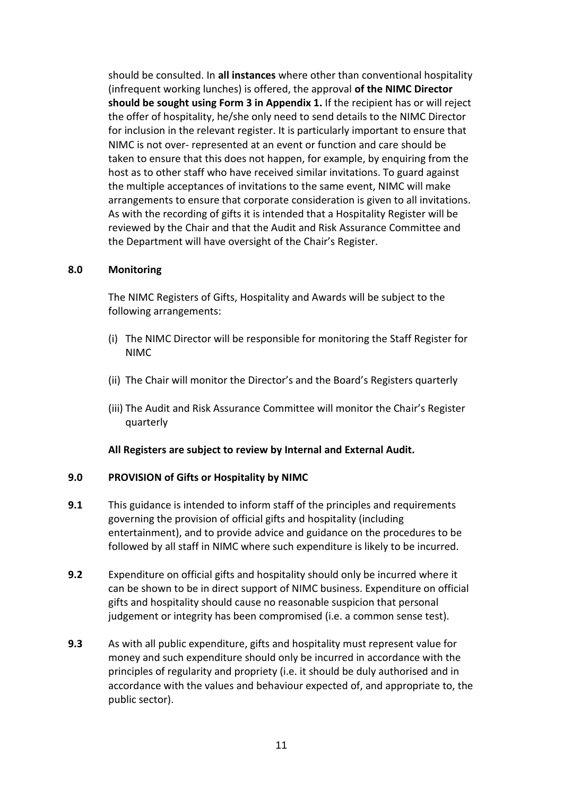should be consulted. In **all instances** where other than conventional hospitality (infrequent working lunches) is offered, the approval **of the NIMC Director should be sought using Form 3 in Appendix 1.** If the recipient has or will reject the offer of hospitality, he/she only need to send details to the NIMC Director for inclusion in the relevant register. It is particularly important to ensure that NIMC is not over- represented at an event or function and care should be taken to ensure that this does not happen, for example, by enquiring from the host as to other staff who have received similar invitations. To guard against the multiple acceptances of invitations to the same event, NIMC will make arrangements to ensure that corporate consideration is given to all invitations. As with the recording of gifts it is intended that a Hospitality Register will be reviewed by the Chair and that the Audit and Risk Assurance Committee and the Department will have oversight of the Chair's Register.

#### **8.0 Monitoring**

The NIMC Registers of Gifts, Hospitality and Awards will be subject to the following arrangements:

- (i) The NIMC Director will be responsible for monitoring the Staff Register for NIMC
- (ii) The Chair will monitor the Director's and the Board's Registers quarterly
- (iii) The Audit and Risk Assurance Committee will monitor the Chair's Register quarterly

#### **All Registers are subject to review by Internal and External Audit.**

## **9.0 PROVISION of Gifts or Hospitality by NIMC**

- **9.1** This guidance is intended to inform staff of the principles and requirements governing the provision of official gifts and hospitality (including entertainment), and to provide advice and guidance on the procedures to be followed by all staff in NIMC where such expenditure is likely to be incurred.
- **9.2** Expenditure on official gifts and hospitality should only be incurred where it can be shown to be in direct support of NIMC business. Expenditure on official gifts and hospitality should cause no reasonable suspicion that personal judgement or integrity has been compromised (i.e. a common sense test).
- **9.3** As with all public expenditure, gifts and hospitality must represent value for money and such expenditure should only be incurred in accordance with the principles of regularity and propriety (i.e. it should be duly authorised and in accordance with the values and behaviour expected of, and appropriate to, the public sector).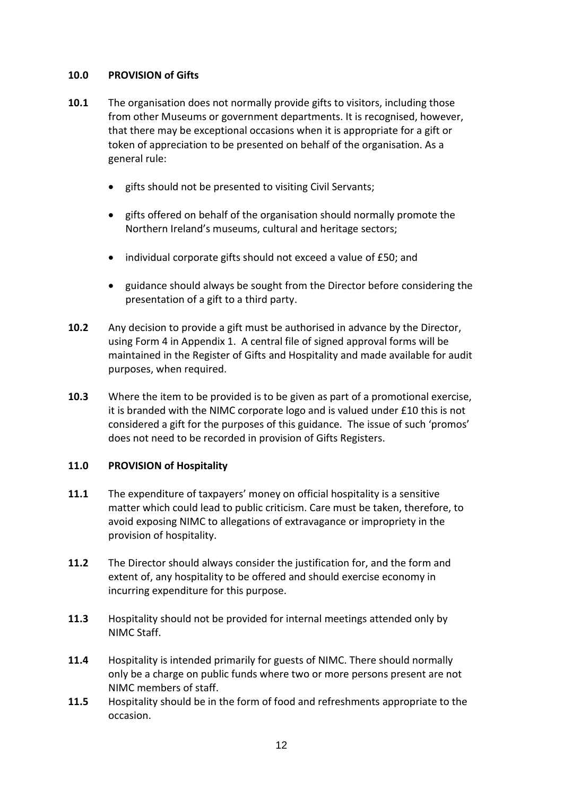#### **10.0 PROVISION of Gifts**

- **10.1** The organisation does not normally provide gifts to visitors, including those from other Museums or government departments. It is recognised, however, that there may be exceptional occasions when it is appropriate for a gift or token of appreciation to be presented on behalf of the organisation. As a general rule:
	- gifts should not be presented to visiting Civil Servants;
	- gifts offered on behalf of the organisation should normally promote the Northern Ireland's museums, cultural and heritage sectors;
	- individual corporate gifts should not exceed a value of £50; and
	- guidance should always be sought from the Director before considering the presentation of a gift to a third party.
- **10.2** Any decision to provide a gift must be authorised in advance by the Director, using Form 4 in Appendix 1. A central file of signed approval forms will be maintained in the Register of Gifts and Hospitality and made available for audit purposes, when required.
- **10.3** Where the item to be provided is to be given as part of a promotional exercise, it is branded with the NIMC corporate logo and is valued under £10 this is not considered a gift for the purposes of this guidance. The issue of such 'promos' does not need to be recorded in provision of Gifts Registers.

#### **11.0 PROVISION of Hospitality**

- **11.1** The expenditure of taxpayers' money on official hospitality is a sensitive matter which could lead to public criticism. Care must be taken, therefore, to avoid exposing NIMC to allegations of extravagance or impropriety in the provision of hospitality.
- **11.2** The Director should always consider the justification for, and the form and extent of, any hospitality to be offered and should exercise economy in incurring expenditure for this purpose.
- **11.3** Hospitality should not be provided for internal meetings attended only by NIMC Staff.
- **11.4** Hospitality is intended primarily for guests of NIMC. There should normally only be a charge on public funds where two or more persons present are not NIMC members of staff.
- **11.5** Hospitality should be in the form of food and refreshments appropriate to the occasion.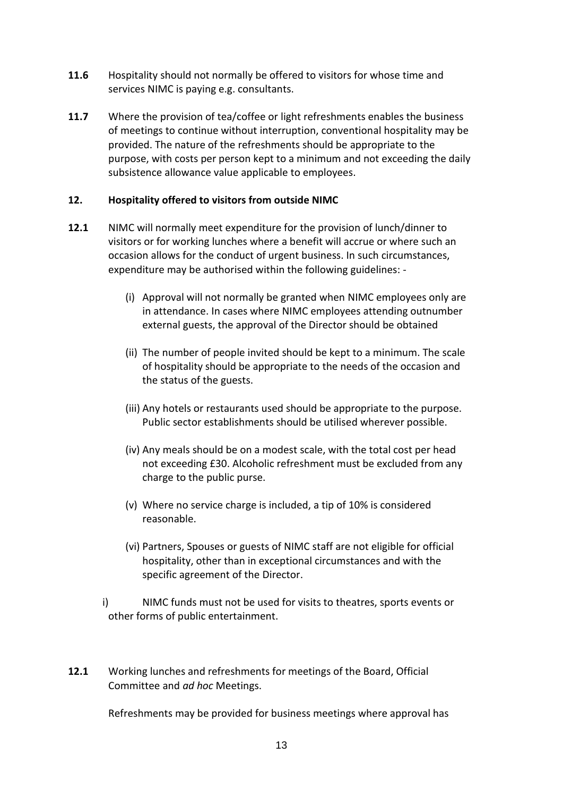- **11.6** Hospitality should not normally be offered to visitors for whose time and services NIMC is paying e.g. consultants.
- **11.7** Where the provision of tea/coffee or light refreshments enables the business of meetings to continue without interruption, conventional hospitality may be provided. The nature of the refreshments should be appropriate to the purpose, with costs per person kept to a minimum and not exceeding the daily subsistence allowance value applicable to employees.

#### **12. Hospitality offered to visitors from outside NIMC**

- **12.1** NIMC will normally meet expenditure for the provision of lunch/dinner to visitors or for working lunches where a benefit will accrue or where such an occasion allows for the conduct of urgent business. In such circumstances, expenditure may be authorised within the following guidelines: -
	- (i) Approval will not normally be granted when NIMC employees only are in attendance. In cases where NIMC employees attending outnumber external guests, the approval of the Director should be obtained
	- (ii) The number of people invited should be kept to a minimum. The scale of hospitality should be appropriate to the needs of the occasion and the status of the guests.
	- (iii) Any hotels or restaurants used should be appropriate to the purpose. Public sector establishments should be utilised wherever possible.
	- (iv) Any meals should be on a modest scale, with the total cost per head not exceeding £30. Alcoholic refreshment must be excluded from any charge to the public purse.
	- (v) Where no service charge is included, a tip of 10% is considered reasonable.
	- (vi) Partners, Spouses or guests of NIMC staff are not eligible for official hospitality, other than in exceptional circumstances and with the specific agreement of the Director.
	- i) NIMC funds must not be used for visits to theatres, sports events or other forms of public entertainment.
- **12.1** Working lunches and refreshments for meetings of the Board, Official Committee and *ad hoc* Meetings.

Refreshments may be provided for business meetings where approval has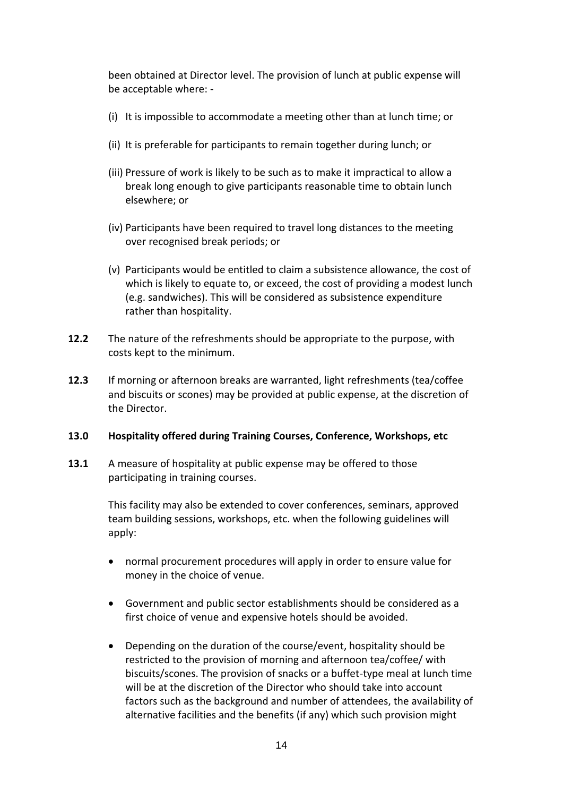been obtained at Director level. The provision of lunch at public expense will be acceptable where: -

- (i) It is impossible to accommodate a meeting other than at lunch time; or
- (ii) It is preferable for participants to remain together during lunch; or
- (iii) Pressure of work is likely to be such as to make it impractical to allow a break long enough to give participants reasonable time to obtain lunch elsewhere; or
- (iv) Participants have been required to travel long distances to the meeting over recognised break periods; or
- (v) Participants would be entitled to claim a subsistence allowance, the cost of which is likely to equate to, or exceed, the cost of providing a modest lunch (e.g. sandwiches). This will be considered as subsistence expenditure rather than hospitality.
- **12.2** The nature of the refreshments should be appropriate to the purpose, with costs kept to the minimum.
- **12.3** If morning or afternoon breaks are warranted, light refreshments (tea/coffee and biscuits or scones) may be provided at public expense, at the discretion of the Director.

#### **13.0 Hospitality offered during Training Courses, Conference, Workshops, etc**

**13.1** A measure of hospitality at public expense may be offered to those participating in training courses.

> This facility may also be extended to cover conferences, seminars, approved team building sessions, workshops, etc. when the following guidelines will apply:

- normal procurement procedures will apply in order to ensure value for money in the choice of venue.
- Government and public sector establishments should be considered as a first choice of venue and expensive hotels should be avoided.
- Depending on the duration of the course/event, hospitality should be restricted to the provision of morning and afternoon tea/coffee/ with biscuits/scones. The provision of snacks or a buffet-type meal at lunch time will be at the discretion of the Director who should take into account factors such as the background and number of attendees, the availability of alternative facilities and the benefits (if any) which such provision might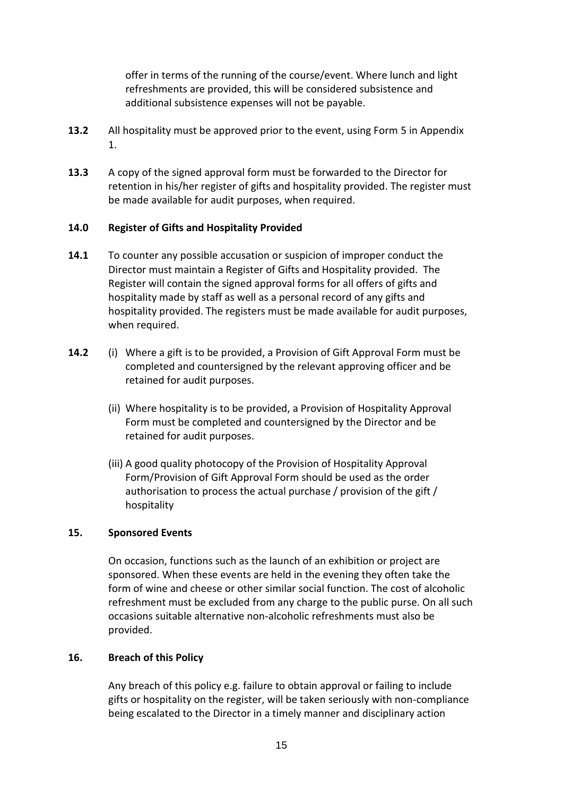offer in terms of the running of the course/event. Where lunch and light refreshments are provided, this will be considered subsistence and additional subsistence expenses will not be payable.

- **13.2** All hospitality must be approved prior to the event, using Form 5 in Appendix 1.
- **13.3** A copy of the signed approval form must be forwarded to the Director for retention in his/her register of gifts and hospitality provided. The register must be made available for audit purposes, when required.

#### **14.0 Register of Gifts and Hospitality Provided**

- **14.1** To counter any possible accusation or suspicion of improper conduct the Director must maintain a Register of Gifts and Hospitality provided. The Register will contain the signed approval forms for all offers of gifts and hospitality made by staff as well as a personal record of any gifts and hospitality provided. The registers must be made available for audit purposes, when required.
- **14.2** (i) Where a gift is to be provided, a Provision of Gift Approval Form must be completed and countersigned by the relevant approving officer and be retained for audit purposes.
	- (ii) Where hospitality is to be provided, a Provision of Hospitality Approval Form must be completed and countersigned by the Director and be retained for audit purposes.
	- (iii) A good quality photocopy of the Provision of Hospitality Approval Form/Provision of Gift Approval Form should be used as the order authorisation to process the actual purchase / provision of the gift / hospitality

#### **15. Sponsored Events**

On occasion, functions such as the launch of an exhibition or project are sponsored. When these events are held in the evening they often take the form of wine and cheese or other similar social function. The cost of alcoholic refreshment must be excluded from any charge to the public purse. On all such occasions suitable alternative non-alcoholic refreshments must also be provided.

#### **16. Breach of this Policy**

Any breach of this policy e.g. failure to obtain approval or failing to include gifts or hospitality on the register, will be taken seriously with non-compliance being escalated to the Director in a timely manner and disciplinary action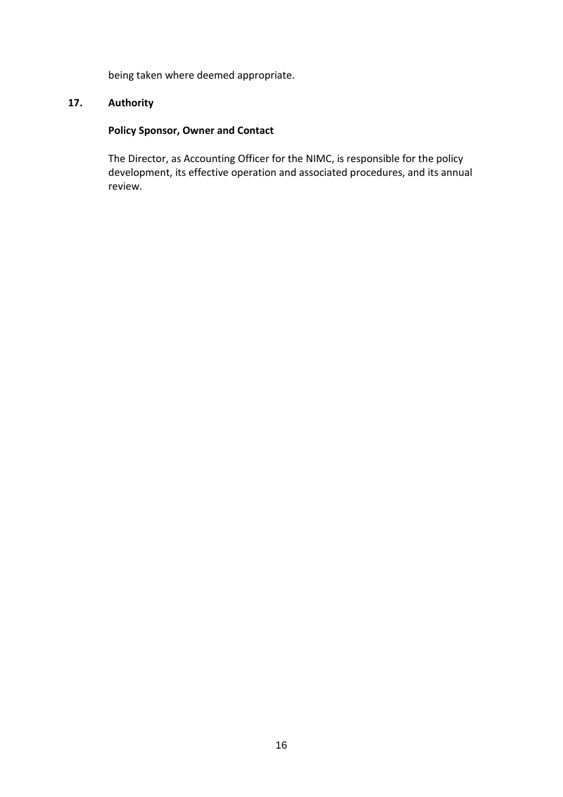being taken where deemed appropriate.

## **17. Authority**

## **Policy Sponsor, Owner and Contact**

The Director, as Accounting Officer for the NIMC, is responsible for the policy development, its effective operation and associated procedures, and its annual review.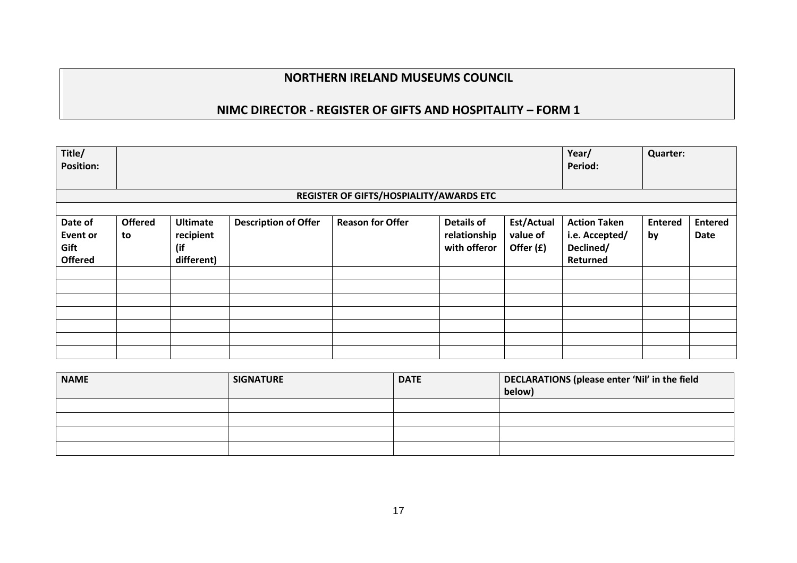# **NIMC DIRECTOR - REGISTER OF GIFTS AND HOSPITALITY – FORM 1**

| Title/<br><b>Position:</b>                           |                      |                                                   |                             |                                         |                                                   | Year/<br>Period:                    | <b>Quarter:</b>                                                |                      |                        |
|------------------------------------------------------|----------------------|---------------------------------------------------|-----------------------------|-----------------------------------------|---------------------------------------------------|-------------------------------------|----------------------------------------------------------------|----------------------|------------------------|
|                                                      |                      |                                                   |                             | REGISTER OF GIFTS/HOSPIALITY/AWARDS ETC |                                                   |                                     |                                                                |                      |                        |
|                                                      |                      |                                                   |                             |                                         |                                                   |                                     |                                                                |                      |                        |
| Date of<br><b>Event or</b><br>Gift<br><b>Offered</b> | <b>Offered</b><br>to | <b>Ultimate</b><br>recipient<br>(if<br>different) | <b>Description of Offer</b> | <b>Reason for Offer</b>                 | <b>Details of</b><br>relationship<br>with offeror | Est/Actual<br>value of<br>Offer (£) | <b>Action Taken</b><br>i.e. Accepted/<br>Declined/<br>Returned | <b>Entered</b><br>by | <b>Entered</b><br>Date |
|                                                      |                      |                                                   |                             |                                         |                                                   |                                     |                                                                |                      |                        |
|                                                      |                      |                                                   |                             |                                         |                                                   |                                     |                                                                |                      |                        |
|                                                      |                      |                                                   |                             |                                         |                                                   |                                     |                                                                |                      |                        |
|                                                      |                      |                                                   |                             |                                         |                                                   |                                     |                                                                |                      |                        |
|                                                      |                      |                                                   |                             |                                         |                                                   |                                     |                                                                |                      |                        |
|                                                      |                      |                                                   |                             |                                         |                                                   |                                     |                                                                |                      |                        |
|                                                      |                      |                                                   |                             |                                         |                                                   |                                     |                                                                |                      |                        |

| <b>NAME</b> | <b>SIGNATURE</b> | <b>DATE</b> | DECLARATIONS (please enter 'Nil' in the field<br>below) |
|-------------|------------------|-------------|---------------------------------------------------------|
|             |                  |             |                                                         |
|             |                  |             |                                                         |
|             |                  |             |                                                         |
|             |                  |             |                                                         |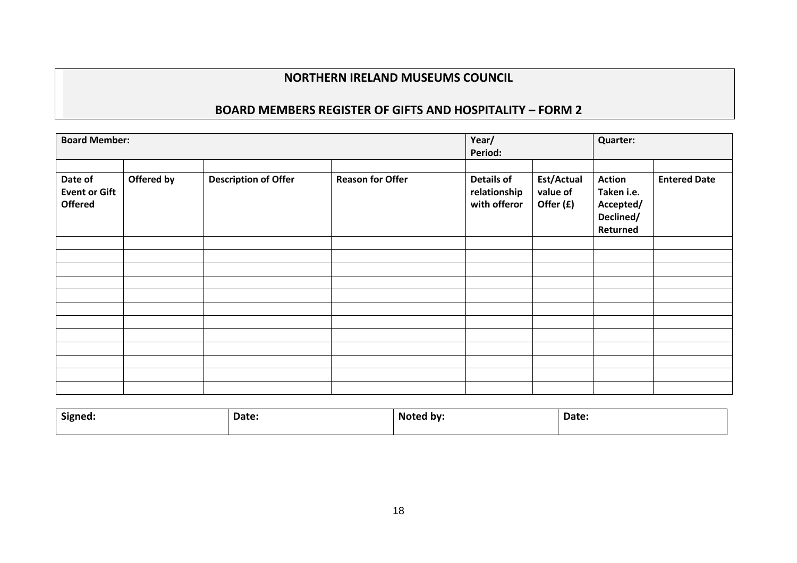# **BOARD MEMBERS REGISTER OF GIFTS AND HOSPITALITY – FORM 2**

| <b>Board Member:</b>                              |            |                             | Year/<br>Period:        |                                                   | Quarter:                            |                                                                   |                     |
|---------------------------------------------------|------------|-----------------------------|-------------------------|---------------------------------------------------|-------------------------------------|-------------------------------------------------------------------|---------------------|
| Date of<br><b>Event or Gift</b><br><b>Offered</b> | Offered by | <b>Description of Offer</b> | <b>Reason for Offer</b> | <b>Details of</b><br>relationship<br>with offeror | Est/Actual<br>value of<br>Offer (£) | <b>Action</b><br>Taken i.e.<br>Accepted/<br>Declined/<br>Returned | <b>Entered Date</b> |
|                                                   |            |                             |                         |                                                   |                                     |                                                                   |                     |
|                                                   |            |                             |                         |                                                   |                                     |                                                                   |                     |
|                                                   |            |                             |                         |                                                   |                                     |                                                                   |                     |
|                                                   |            |                             |                         |                                                   |                                     |                                                                   |                     |
|                                                   |            |                             |                         |                                                   |                                     |                                                                   |                     |
|                                                   |            |                             |                         |                                                   |                                     |                                                                   |                     |
|                                                   |            |                             |                         |                                                   |                                     |                                                                   |                     |
|                                                   |            |                             |                         |                                                   |                                     |                                                                   |                     |

| Signed: | Date: | Noted by: | Date: |
|---------|-------|-----------|-------|
|         |       |           |       |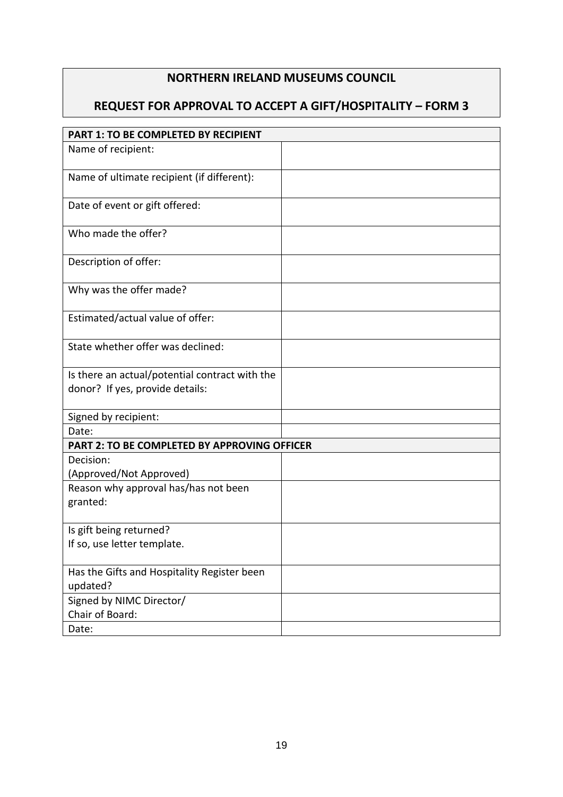# **REQUEST FOR APPROVAL TO ACCEPT A GIFT/HOSPITALITY – FORM 3**

| PART 1: TO BE COMPLETED BY RECIPIENT           |  |
|------------------------------------------------|--|
| Name of recipient:                             |  |
|                                                |  |
| Name of ultimate recipient (if different):     |  |
| Date of event or gift offered:                 |  |
| Who made the offer?                            |  |
| Description of offer:                          |  |
| Why was the offer made?                        |  |
| Estimated/actual value of offer:               |  |
| State whether offer was declined:              |  |
| Is there an actual/potential contract with the |  |
| donor? If yes, provide details:                |  |
| Signed by recipient:                           |  |
| Date:                                          |  |
| PART 2: TO BE COMPLETED BY APPROVING OFFICER   |  |
| Decision:                                      |  |
| (Approved/Not Approved)                        |  |
| Reason why approval has/has not been           |  |
| granted:                                       |  |
| Is gift being returned?                        |  |
| If so, use letter template.                    |  |
| Has the Gifts and Hospitality Register been    |  |
| updated?                                       |  |
| Signed by NIMC Director/                       |  |
| Chair of Board:                                |  |
| Date:                                          |  |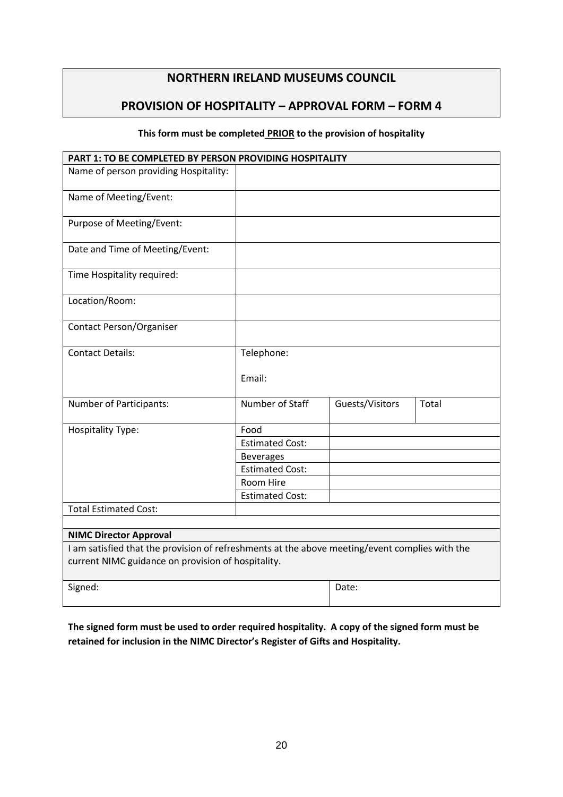## **PROVISION OF HOSPITALITY – APPROVAL FORM – FORM 4**

#### **This form must be completed PRIOR to the provision of hospitality**

| PART 1: TO BE COMPLETED BY PERSON PROVIDING HOSPITALITY                                        |                        |                 |       |
|------------------------------------------------------------------------------------------------|------------------------|-----------------|-------|
| Name of person providing Hospitality:                                                          |                        |                 |       |
| Name of Meeting/Event:                                                                         |                        |                 |       |
| Purpose of Meeting/Event:                                                                      |                        |                 |       |
| Date and Time of Meeting/Event:                                                                |                        |                 |       |
| Time Hospitality required:                                                                     |                        |                 |       |
| Location/Room:                                                                                 |                        |                 |       |
| Contact Person/Organiser                                                                       |                        |                 |       |
| <b>Contact Details:</b>                                                                        | Telephone:             |                 |       |
|                                                                                                | Email:                 |                 |       |
| Number of Participants:                                                                        | Number of Staff        | Guests/Visitors | Total |
| <b>Hospitality Type:</b>                                                                       | Food                   |                 |       |
|                                                                                                | <b>Estimated Cost:</b> |                 |       |
|                                                                                                | <b>Beverages</b>       |                 |       |
|                                                                                                | <b>Estimated Cost:</b> |                 |       |
|                                                                                                | Room Hire              |                 |       |
|                                                                                                | <b>Estimated Cost:</b> |                 |       |
| <b>Total Estimated Cost:</b>                                                                   |                        |                 |       |
|                                                                                                |                        |                 |       |
| <b>NIMC Director Approval</b>                                                                  |                        |                 |       |
| I am satisfied that the provision of refreshments at the above meeting/event complies with the |                        |                 |       |
| current NIMC guidance on provision of hospitality.                                             |                        |                 |       |
| Signed:                                                                                        |                        | Date:           |       |

**The signed form must be used to order required hospitality. A copy of the signed form must be retained for inclusion in the NIMC Director's Register of Gifts and Hospitality.**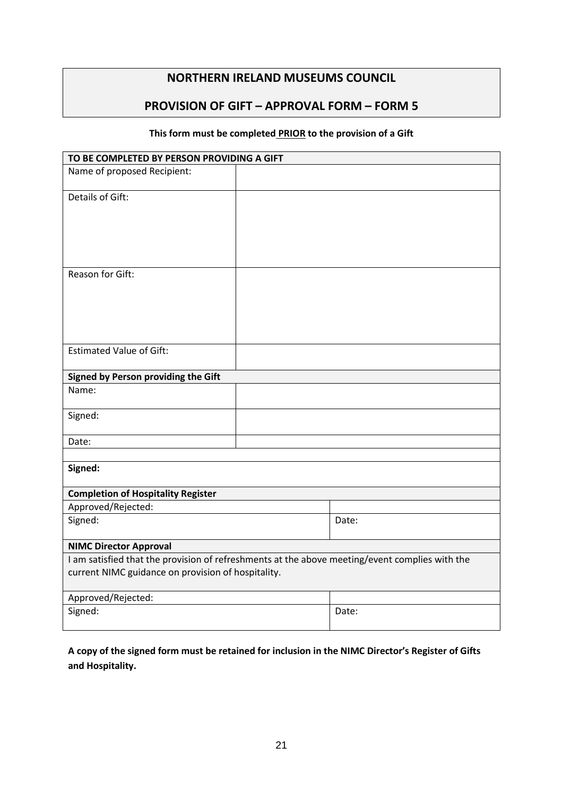## **PROVISION OF GIFT – APPROVAL FORM – FORM 5**

#### **This form must be completed PRIOR to the provision of a Gift**

| TO BE COMPLETED BY PERSON PROVIDING A GIFT                                                                                                           |  |       |  |  |
|------------------------------------------------------------------------------------------------------------------------------------------------------|--|-------|--|--|
| Name of proposed Recipient:                                                                                                                          |  |       |  |  |
| Details of Gift:                                                                                                                                     |  |       |  |  |
| Reason for Gift:                                                                                                                                     |  |       |  |  |
| <b>Estimated Value of Gift:</b>                                                                                                                      |  |       |  |  |
| Signed by Person providing the Gift                                                                                                                  |  |       |  |  |
| Name:                                                                                                                                                |  |       |  |  |
| Signed:                                                                                                                                              |  |       |  |  |
| Date:                                                                                                                                                |  |       |  |  |
|                                                                                                                                                      |  |       |  |  |
| Signed:                                                                                                                                              |  |       |  |  |
| <b>Completion of Hospitality Register</b>                                                                                                            |  |       |  |  |
| Approved/Rejected:                                                                                                                                   |  |       |  |  |
| Signed:                                                                                                                                              |  | Date: |  |  |
| <b>NIMC Director Approval</b>                                                                                                                        |  |       |  |  |
| I am satisfied that the provision of refreshments at the above meeting/event complies with the<br>current NIMC guidance on provision of hospitality. |  |       |  |  |
| Approved/Rejected:                                                                                                                                   |  |       |  |  |
| Signed:                                                                                                                                              |  | Date: |  |  |

**A copy of the signed form must be retained for inclusion in the NIMC Director's Register of Gifts and Hospitality.**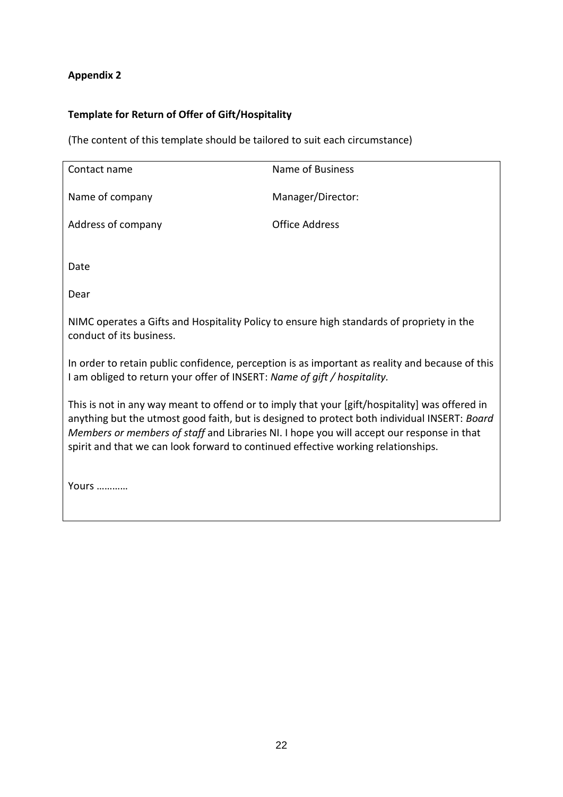## **Appendix 2**

# **Template for Return of Offer of Gift/Hospitality**

(The content of this template should be tailored to suit each circumstance)

| Contact name                                                                                                                                                                                                                                                                                                                                                                     | Name of Business      |  |  |  |
|----------------------------------------------------------------------------------------------------------------------------------------------------------------------------------------------------------------------------------------------------------------------------------------------------------------------------------------------------------------------------------|-----------------------|--|--|--|
| Name of company                                                                                                                                                                                                                                                                                                                                                                  | Manager/Director:     |  |  |  |
| Address of company                                                                                                                                                                                                                                                                                                                                                               | <b>Office Address</b> |  |  |  |
|                                                                                                                                                                                                                                                                                                                                                                                  |                       |  |  |  |
| Date                                                                                                                                                                                                                                                                                                                                                                             |                       |  |  |  |
| Dear                                                                                                                                                                                                                                                                                                                                                                             |                       |  |  |  |
| NIMC operates a Gifts and Hospitality Policy to ensure high standards of propriety in the<br>conduct of its business.                                                                                                                                                                                                                                                            |                       |  |  |  |
| In order to retain public confidence, perception is as important as reality and because of this<br>I am obliged to return your offer of INSERT: Name of gift / hospitality.                                                                                                                                                                                                      |                       |  |  |  |
| This is not in any way meant to offend or to imply that your [gift/hospitality] was offered in<br>anything but the utmost good faith, but is designed to protect both individual INSERT: Board<br>Members or members of staff and Libraries NI. I hope you will accept our response in that<br>spirit and that we can look forward to continued effective working relationships. |                       |  |  |  |

Yours …………